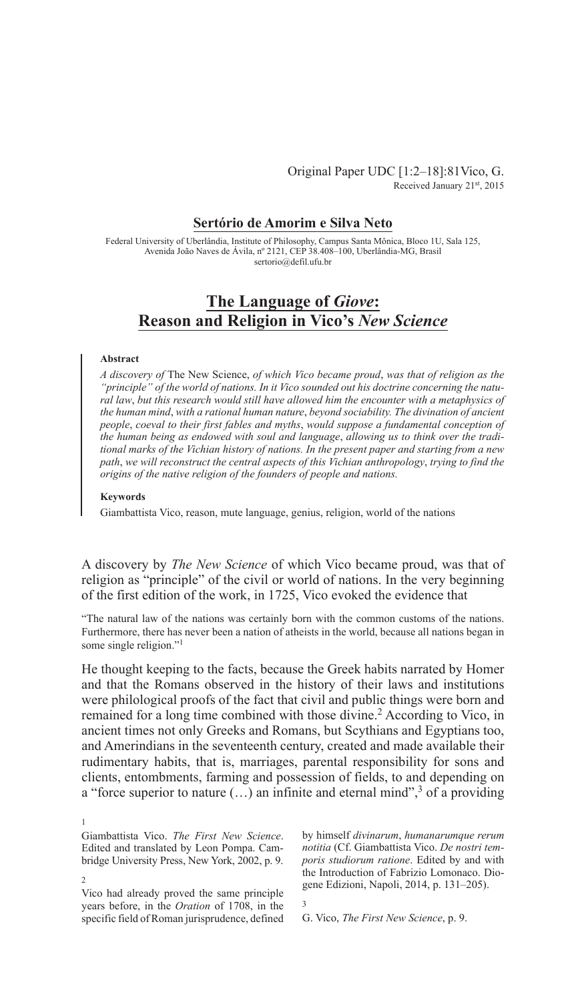Original Paper UDC [1:2–18]:81Vico, G. Received January 21st, 2015

## **Sertório de Amorim e Silva Neto**

Federal University of Uberlândia, Institute of Philosophy, Campus Santa Mônica, Bloco 1U, Sala 125, Avenida João Naves de Ávila, nº 2121, CEP 38.408–100, Uberlândia-MG, Brasil sertorio@defil.ufu.br

# **The Language of** *Giove***: Reason and Religion in Vico's** *New Science*

#### **Abstract**

*A discovery of* The New Science, *of which Vico became proud*, *was that of religion as the "principle" of the world of nations. In it Vico sounded out his doctrine concerning the natural law*, *but this research would still have allowed him the encounter with a metaphysics of the human mind*, *with a rational human nature*, *beyond sociability. The divination of ancient people*, *coeval to their first fables and myths*, *would suppose a fundamental conception of the human being as endowed with soul and language*, *allowing us to think over the traditional marks of the Vichian history of nations. In the present paper and starting from a new path*, *we will reconstruct the central aspects of this Vichian anthropology*, *trying to find the origins of the native religion of the founders of people and nations.*

### **Keywords**

Giambattista Vico, reason, mute language, genius, religion, world of the nations

A discovery by *The New Science* of which Vico became proud, was that of religion as "principle" of the civil or world of nations. In the very beginning of the first edition of the work, in 1725, Vico evoked the evidence that

"The natural law of the nations was certainly born with the common customs of the nations. Furthermore, there has never been a nation of atheists in the world, because all nations began in some single religion."<sup>1</sup>

He thought keeping to the facts, because the Greek habits narrated by Homer and that the Romans observed in the history of their laws and institutions were philological proofs of the fact that civil and public things were born and remained for a long time combined with those divine.<sup>2</sup> According to Vico, in ancient times not only Greeks and Romans, but Scythians and Egyptians too, and Amerindians in the seventeenth century, created and made available their rudimentary habits, that is, marriages, parental responsibility for sons and clients, entombments, farming and possession of fields, to and depending on a "force superior to nature  $(...)$  an infinite and eternal mind",<sup>3</sup> of a providing

Vico had already proved the same principle years before, in the *Oration* of 1708, in the specific field of Roman jurisprudence, defined

1

2

3

G. Vico, *The First New Science*, p. 9.

Giambattista Vico. *The First New Science*. Edited and translated by Leon Pompa. Cambridge University Press, New York, 2002, p. 9.

by himself *divinarum*, *humanarumque rerum notitia* (Cf. Giambattista Vico. *De nostri temporis studiorum ratione*. Edited by and with the Introduction of Fabrizio Lomonaco. Diogene Edizioni, Napoli, 2014, p. 131–205).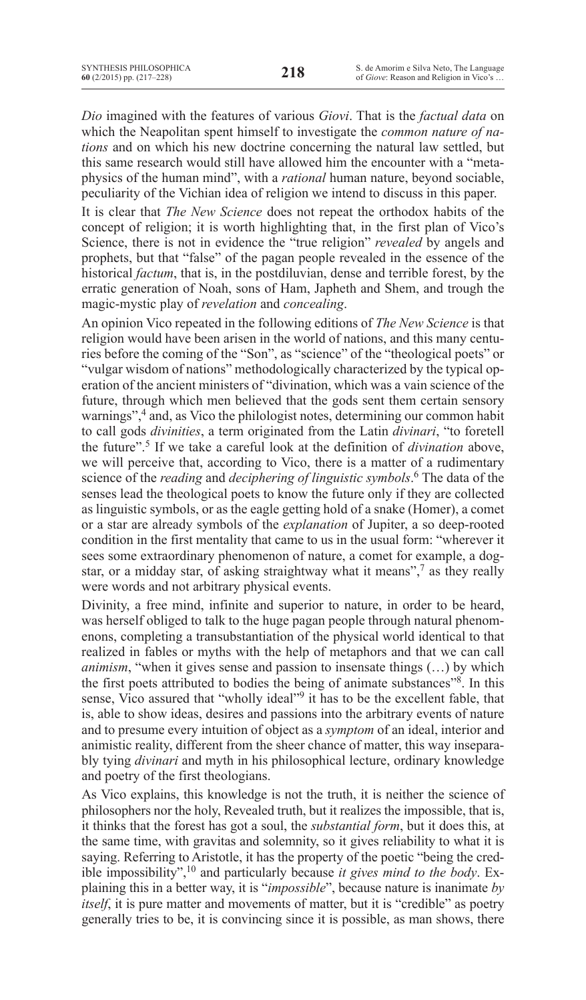*Dio* imagined with the features of various *Giovi*. That is the *factual data* on which the Neapolitan spent himself to investigate the *common nature of nations* and on which his new doctrine concerning the natural law settled, but this same research would still have allowed him the encounter with a "metaphysics of the human mind", with a *rational* human nature, beyond sociable, peculiarity of the Vichian idea of religion we intend to discuss in this paper.

It is clear that *The New Science* does not repeat the orthodox habits of the concept of religion; it is worth highlighting that, in the first plan of Vico's Science, there is not in evidence the "true religion" *revealed* by angels and prophets, but that "false" of the pagan people revealed in the essence of the historical *factum*, that is, in the postdiluvian, dense and terrible forest, by the erratic generation of Noah, sons of Ham, Japheth and Shem, and trough the magic-mystic play of *revelation* and *concealing*.

An opinion Vico repeated in the following editions of *The New Science* is that religion would have been arisen in the world of nations, and this many centuries before the coming of the "Son", as "science" of the "theological poets" or "vulgar wisdom of nations" methodologically characterized by the typical operation of the ancient ministers of "divination, which was a vain science of the future, through which men believed that the gods sent them certain sensory warnings",<sup>4</sup> and, as Vico the philologist notes, determining our common habit to call gods *divinities*, a term originated from the Latin *divinari*, "to foretell the future".5 If we take a careful look at the definition of *divination* above, we will perceive that, according to Vico, there is a matter of a rudimentary science of the *reading* and *deciphering of linguistic symbols*. <sup>6</sup> The data of the senses lead the theological poets to know the future only if they are collected as linguistic symbols, or as the eagle getting hold of a snake (Homer), a comet or a star are already symbols of the *explanation* of Jupiter, a so deep-rooted condition in the first mentality that came to us in the usual form: "wherever it sees some extraordinary phenomenon of nature, a comet for example, a dogstar, or a midday star, of asking straightway what it means",<sup>7</sup> as they really were words and not arbitrary physical events.

Divinity, a free mind, infinite and superior to nature, in order to be heard, was herself obliged to talk to the huge pagan people through natural phenomenons, completing a transubstantiation of the physical world identical to that realized in fables or myths with the help of metaphors and that we can call *animism*, "when it gives sense and passion to insensate things (…) by which the first poets attributed to bodies the being of animate substances"8. In this sense, Vico assured that "wholly ideal"9 it has to be the excellent fable, that is, able to show ideas, desires and passions into the arbitrary events of nature and to presume every intuition of object as a *symptom* of an ideal, interior and animistic reality, different from the sheer chance of matter, this way inseparably tying *divinari* and myth in his philosophical lecture, ordinary knowledge and poetry of the first theologians.

As Vico explains, this knowledge is not the truth, it is neither the science of philosophers nor the holy, Revealed truth, but it realizes the impossible, that is, it thinks that the forest has got a soul, the *substantial form*, but it does this, at the same time, with gravitas and solemnity, so it gives reliability to what it is saying. Referring to Aristotle, it has the property of the poetic "being the credible impossibility",<sup>10</sup> and particularly because *it gives mind to the body*. Explaining this in a better way, it is "*impossible*", because nature is inanimate *by itself*, it is pure matter and movements of matter, but it is "credible" as poetry generally tries to be, it is convincing since it is possible, as man shows, there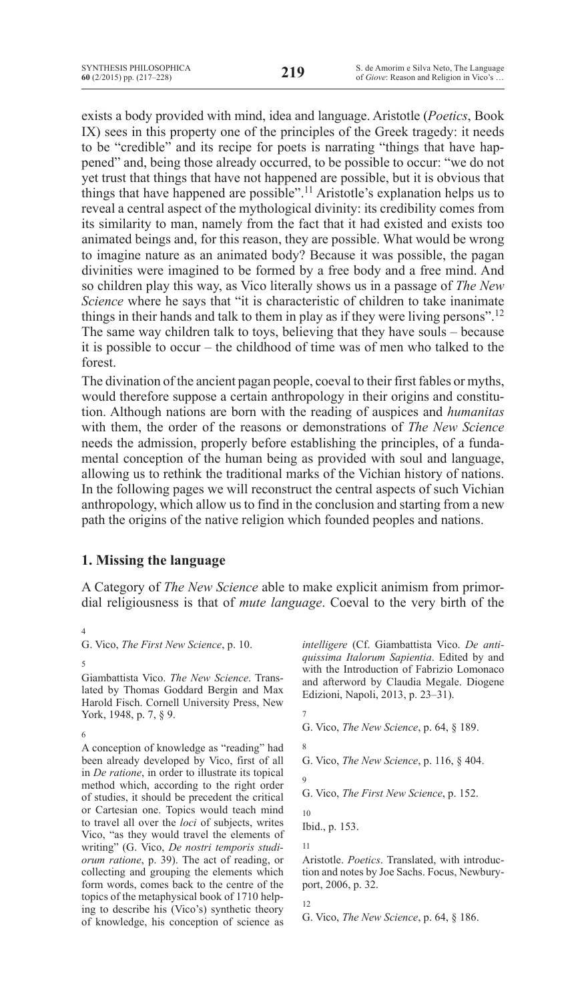exists a body provided with mind, idea and language. Aristotle (*Poetics*, Book IX) sees in this property one of the principles of the Greek tragedy: it needs to be "credible" and its recipe for poets is narrating "things that have happened" and, being those already occurred, to be possible to occur: "we do not yet trust that things that have not happened are possible, but it is obvious that things that have happened are possible".11 Aristotle's explanation helps us to reveal a central aspect of the mythological divinity: its credibility comes from its similarity to man, namely from the fact that it had existed and exists too animated beings and, for this reason, they are possible. What would be wrong to imagine nature as an animated body? Because it was possible, the pagan divinities were imagined to be formed by a free body and a free mind. And so children play this way, as Vico literally shows us in a passage of *The New Science* where he says that "it is characteristic of children to take inanimate things in their hands and talk to them in play as if they were living persons".<sup>12</sup> The same way children talk to toys, believing that they have souls – because it is possible to occur – the childhood of time was of men who talked to the forest.

The divination of the ancient pagan people, coeval to their first fables or myths, would therefore suppose a certain anthropology in their origins and constitution. Although nations are born with the reading of auspices and *humanitas* with them, the order of the reasons or demonstrations of *The New Science* needs the admission, properly before establishing the principles, of a fundamental conception of the human being as provided with soul and language, allowing us to rethink the traditional marks of the Vichian history of nations. In the following pages we will reconstruct the central aspects of such Vichian anthropology, which allow us to find in the conclusion and starting from a new path the origins of the native religion which founded peoples and nations.

## **1. Missing the language**

A Category of *The New Science* able to make explicit animism from primordial religiousness is that of *mute language*. Coeval to the very birth of the

4

Giambattista Vico. *The New Science*. Translated by Thomas Goddard Bergin and Max Harold Fisch. Cornell University Press, New York, 1948, p. 7, § 9.

6

A conception of knowledge as "reading" had been already developed by Vico, first of all in *De ratione*, in order to illustrate its topical method which, according to the right order of studies, it should be precedent the critical or Cartesian one. Topics would teach mind to travel all over the *loci* of subjects, writes Vico, "as they would travel the elements of writing" (G. Vico, *De nostri temporis studiorum ratione*, p. 39). The act of reading, or collecting and grouping the elements which form words, comes back to the centre of the topics of the metaphysical book of 1710 helping to describe his (Vico's) synthetic theory of knowledge, his conception of science as

*intelligere* (Cf. Giambattista Vico. *De antiquissima Italorum Sapientia*. Edited by and with the Introduction of Fabrizio Lomonaco and afterword by Claudia Megale. Diogene Edizioni, Napoli, 2013, p. 23–31).

- 7
- G. Vico, *The New Science*, p. 64, § 189.
- 8 G. Vico, *The New Science*, p. 116, § 404.  $\overline{Q}$ 
	-

G. Vico, *The First New Science*, p. 152.

10 Ibid., p. 153.

11

Aristotle. *Poetics*. Translated, with introduction and notes by Joe Sachs. Focus, Newburyport, 2006, p. 32.

12

G. Vico, *The New Science*, p. 64, § 186.

G. Vico, *The First New Science*, p. 10.

<sup>5</sup>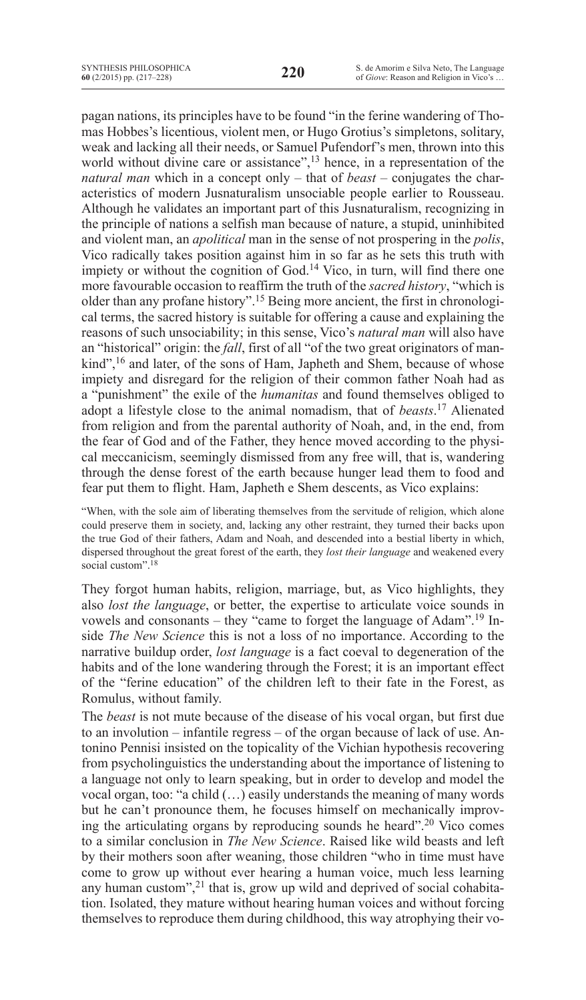pagan nations, its principles have to be found "in the ferine wandering of Thomas Hobbes's licentious, violent men, or Hugo Grotius's simpletons, solitary, weak and lacking all their needs, or Samuel Pufendorf's men, thrown into this world without divine care or assistance",<sup>13</sup> hence, in a representation of the *natural man* which in a concept only – that of *beast* – conjugates the characteristics of modern Jusnaturalism unsociable people earlier to Rousseau. Although he validates an important part of this Jusnaturalism, recognizing in the principle of nations a selfish man because of nature, a stupid, uninhibited and violent man, an *apolitical* man in the sense of not prospering in the *polis*, Vico radically takes position against him in so far as he sets this truth with impiety or without the cognition of God.<sup>14</sup> Vico, in turn, will find there one more favourable occasion to reaffirm the truth of the *sacred history*, "which is older than any profane history".15 Being more ancient, the first in chronological terms, the sacred history is suitable for offering a cause and explaining the reasons of such unsociability; in this sense, Vico's *natural man* will also have an "historical" origin: the *fall*, first of all "of the two great originators of mankind",<sup>16</sup> and later, of the sons of Ham, Japheth and Shem, because of whose impiety and disregard for the religion of their common father Noah had as a "punishment" the exile of the *humanitas* and found themselves obliged to adopt a lifestyle close to the animal nomadism, that of *beasts*. <sup>17</sup> Alienated from religion and from the parental authority of Noah, and, in the end, from the fear of God and of the Father, they hence moved according to the physical meccanicism, seemingly dismissed from any free will, that is, wandering through the dense forest of the earth because hunger lead them to food and fear put them to flight. Ham, Japheth e Shem descents, as Vico explains:

"when, with the sole aim of liberating themselves from the servitude of religion, which alone could preserve them in society, and, lacking any other restraint, they turned their backs upon the true God of their fathers, Adam and Noah, and descended into a bestial liberty in which, dispersed throughout the great forest of the earth, they *lost their language* and weakened every social custom".<sup>18</sup>

They forgot human habits, religion, marriage, but, as Vico highlights, they also *lost the language*, or better, the expertise to articulate voice sounds in vowels and consonants – they "came to forget the language of Adam".19 Inside *The New Science* this is not a loss of no importance. According to the narrative buildup order, *lost language* is a fact coeval to degeneration of the habits and of the lone wandering through the Forest; it is an important effect of the "ferine education" of the children left to their fate in the Forest, as Romulus, without family.

The *beast* is not mute because of the disease of his vocal organ, but first due to an involution – infantile regress – of the organ because of lack of use. Antonino Pennisi insisted on the topicality of the Vichian hypothesis recovering from psycholinguistics the understanding about the importance of listening to a language not only to learn speaking, but in order to develop and model the vocal organ, too: "a child (…) easily understands the meaning of many words but he can't pronounce them, he focuses himself on mechanically improving the articulating organs by reproducing sounds he heard".20 Vico comes to a similar conclusion in *The New Science*. Raised like wild beasts and left by their mothers soon after weaning, those children "who in time must have come to grow up without ever hearing a human voice, much less learning any human custom", $21$  that is, grow up wild and deprived of social cohabitation. Isolated, they mature without hearing human voices and without forcing themselves to reproduce them during childhood, this way atrophying their vo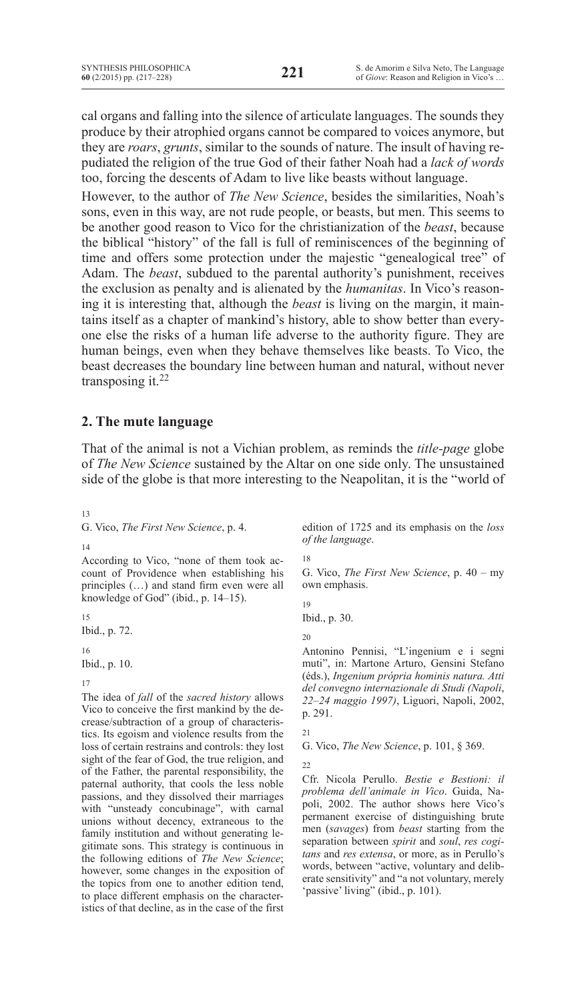cal organs and falling into the silence of articulate languages. The sounds they produce by their atrophied organs cannot be compared to voices anymore, but they are *roars*, *grunts*, similar to the sounds of nature. The insult of having repudiated the religion of the true God of their father Noah had a *lack of words* too, forcing the descents of Adam to live like beasts without language.

However, to the author of *The New Science*, besides the similarities, Noah's sons, even in this way, are not rude people, or beasts, but men. This seems to be another good reason to Vico for the christianization of the *beast*, because the biblical "history" of the fall is full of reminiscences of the beginning of time and offers some protection under the majestic "genealogical tree" of Adam. The *beast*, subdued to the parental authority's punishment, receives the exclusion as penalty and is alienated by the *humanitas*. In Vico's reasoning it is interesting that, although the *beast* is living on the margin, it maintains itself as a chapter of mankind's history, able to show better than everyone else the risks of a human life adverse to the authority figure. They are human beings, even when they behave themselves like beasts. To Vico, the beast decreases the boundary line between human and natural, without never transposing it.<sup>22</sup>

## **2. The mute language**

That of the animal is not a Vichian problem, as reminds the *title-page* globe of *The New Science* sustained by the Altar on one side only. The unsustained side of the globe is that more interesting to the Neapolitan, it is the "world of

13

G. Vico, *The First New Science*, p. 4.

14

According to Vico, "none of them took account of Providence when establishing his principles (…) and stand firm even were all knowledge of God" (ibid., p. 14–15).

15 Ibid., p. 72.

16

Ibid., p. 10.

17

The idea of *fall* of the *sacred history* allows Vico to conceive the first mankind by the decrease/subtraction of a group of characteristics. Its egoism and violence results from the loss of certain restrains and controls: they lost sight of the fear of God, the true religion, and of the Father, the parental responsibility, the paternal authority, that cools the less noble passions, and they dissolved their marriages with "unsteady concubinage", with carnal unions without decency, extraneous to the family institution and without generating legitimate sons. This strategy is continuous in the following editions of *The New Science*; however, some changes in the exposition of the topics from one to another edition tend, to place different emphasis on the characteristics of that decline, as in the case of the first

edition of 1725 and its emphasis on the *loss of the language*.

18

G. Vico, *The First New Science*, p. 40 – my own emphasis.

Ibid., p. 30.

20

19

Antonino Pennisi, "L'ingenium e i segni muti", in: Martone Arturo, Gensini Stefano (éds.), *Ingenium própria hominis natura. Atti del convegno internazionale di Studi (Napoli*, *22–24 maggio 1997)*, Liguori, Napoli, 2002, p. 291.

21

G. Vico, *The New Science*, p. 101, § 369.

22

Cfr. Nicola Perullo. *Bestie e Bestioni: il problema dell'animale in Vico*. Guida, Napoli, 2002. The author shows here Vico's permanent exercise of distinguishing brute men (*savages*) from *beast* starting from the separation between *spirit* and *soul*, *res cogitans* and *res extensa*, or more, as in Perullo's words, between "active, voluntary and deliberate sensitivity" and "a not voluntary, merely 'passive' living" (ibid., p. 101).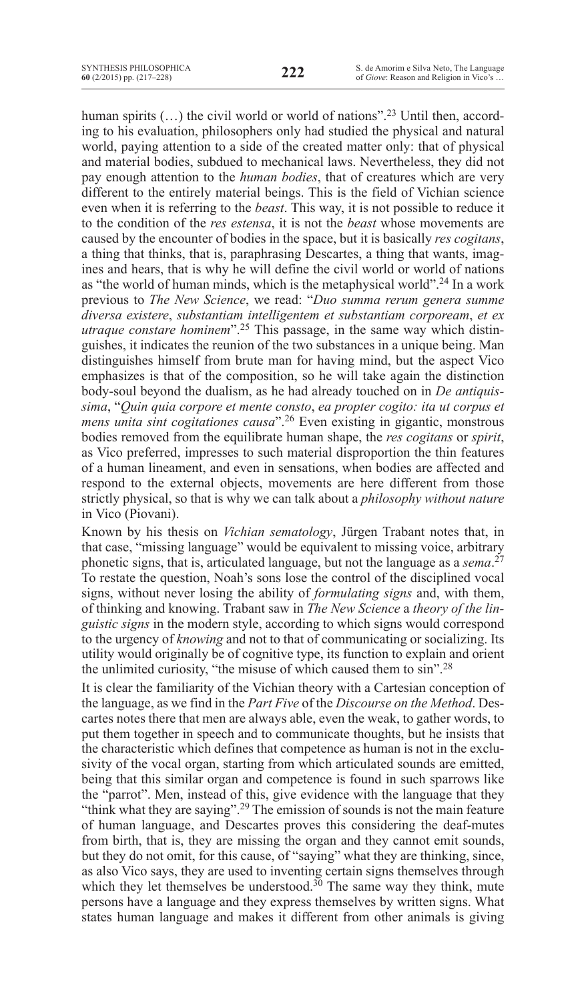human spirits  $(...)$  the civil world or world of nations".<sup>23</sup> Until then, according to his evaluation, philosophers only had studied the physical and natural world, paying attention to a side of the created matter only: that of physical and material bodies, subdued to mechanical laws. Nevertheless, they did not pay enough attention to the *human bodies*, that of creatures which are very different to the entirely material beings. This is the field of Vichian science even when it is referring to the *beast*. This way, it is not possible to reduce it to the condition of the *res estensa*, it is not the *beast* whose movements are caused by the encounter of bodies in the space, but it is basically *res cogitans*, a thing that thinks, that is, paraphrasing Descartes, a thing that wants, imagines and hears, that is why he will define the civil world or world of nations as "the world of human minds, which is the metaphysical world".24 In a work previous to *The New Science*, we read: "*Duo summa rerum genera summe diversa existere*, *substantiam intelligentem et substantiam corpoream*, *et ex utraque constare hominem*".25 This passage, in the same way which distinguishes, it indicates the reunion of the two substances in a unique being. Man distinguishes himself from brute man for having mind, but the aspect Vico emphasizes is that of the composition, so he will take again the distinction body-soul beyond the dualism, as he had already touched on in *De antiquissima*, "*Quin quia corpore et mente consto*, *ea propter cogito: ita ut corpus et mens unita sint cogitationes causa*".26 Even existing in gigantic, monstrous bodies removed from the equilibrate human shape, the *res cogitans* or *spirit*, as Vico preferred, impresses to such material disproportion the thin features of a human lineament, and even in sensations, when bodies are affected and respond to the external objects, movements are here different from those strictly physical, so that is why we can talk about a *philosophy without nature* in Vico (Piovani).

Known by his thesis on *Vichian sematology*, Jürgen Trabant notes that, in that case, "missing language" would be equivalent to missing voice, arbitrary phonetic signs, that is, articulated language, but not the language as a *sema*. 27 To restate the question, Noah's sons lose the control of the disciplined vocal signs, without never losing the ability of *formulating signs* and, with them, of thinking and knowing. Trabant saw in *The New Science* a *theory of the linguistic signs* in the modern style, according to which signs would correspond to the urgency of *knowing* and not to that of communicating or socializing. Its utility would originally be of cognitive type, its function to explain and orient the unlimited curiosity, "the misuse of which caused them to sin".28

It is clear the familiarity of the Vichian theory with a Cartesian conception of the language, as we find in the *Part Five* of the *Discourse on the Method*. Descartes notes there that men are always able, even the weak, to gather words, to put them together in speech and to communicate thoughts, but he insists that the characteristic which defines that competence as human is not in the exclusivity of the vocal organ, starting from which articulated sounds are emitted, being that this similar organ and competence is found in such sparrows like the "parrot". Men, instead of this, give evidence with the language that they "think what they are saying".<sup>29</sup> The emission of sounds is not the main feature of human language, and Descartes proves this considering the deaf-mutes from birth, that is, they are missing the organ and they cannot emit sounds, but they do not omit, for this cause, of "saying" what they are thinking, since, as also Vico says, they are used to inventing certain signs themselves through which they let themselves be understood.<sup>30</sup> The same way they think, mute persons have a language and they express themselves by written signs. What states human language and makes it different from other animals is giving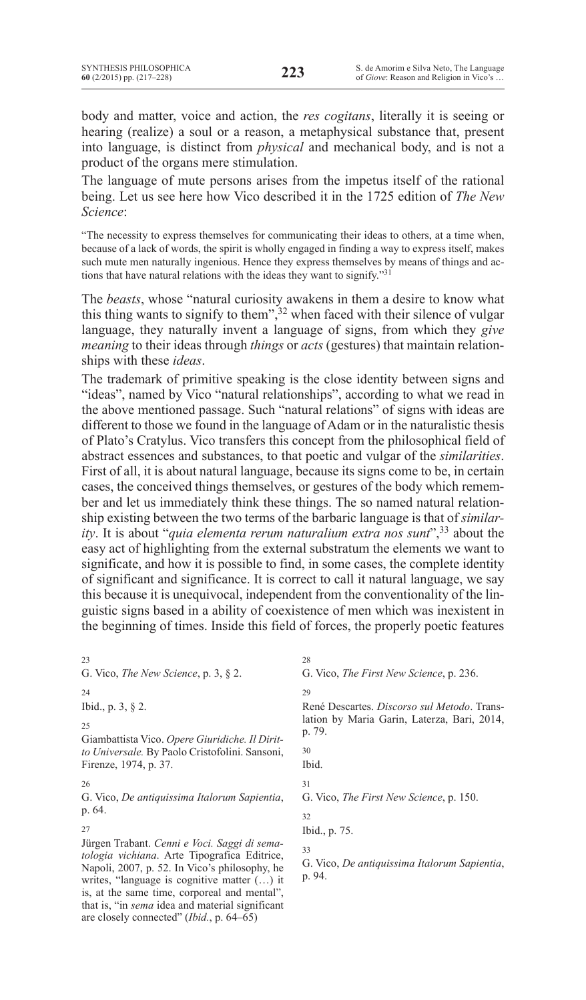body and matter, voice and action, the *res cogitans*, literally it is seeing or hearing (realize) a soul or a reason, a metaphysical substance that, present into language, is distinct from *physical* and mechanical body, and is not a product of the organs mere stimulation.

The language of mute persons arises from the impetus itself of the rational being. Let us see here how Vico described it in the 1725 edition of *The New Science*:

"the necessity to express themselves for communicating their ideas to others, at a time when, because of a lack of words, the spirit is wholly engaged in finding a way to express itself, makes such mute men naturally ingenious. Hence they express themselves by means of things and actions that have natural relations with the ideas they want to signify."<sup>31</sup>

The *beasts*, whose "natural curiosity awakens in them a desire to know what this thing wants to signify to them", $32$  when faced with their silence of vulgar language, they naturally invent a language of signs, from which they *give meaning* to their ideas through *things* or *acts* (gestures) that maintain relationships with these *ideas*.

The trademark of primitive speaking is the close identity between signs and "ideas", named by Vico "natural relationships", according to what we read in the above mentioned passage. Such "natural relations" of signs with ideas are different to those we found in the language of Adam or in the naturalistic thesis of Plato's Cratylus. Vico transfers this concept from the philosophical field of abstract essences and substances, to that poetic and vulgar of the *similarities*. First of all, it is about natural language, because its signs come to be, in certain cases, the conceived things themselves, or gestures of the body which remember and let us immediately think these things. The so named natural relationship existing between the two terms of the barbaric language is that of *similarity*. It is about "*quia elementa rerum naturalium extra nos sunt*",<sup>33</sup> about the easy act of highlighting from the external substratum the elements we want to significate, and how it is possible to find, in some cases, the complete identity of significant and significance. It is correct to call it natural language, we say this because it is unequivocal, independent from the conventionality of the linguistic signs based in a ability of coexistence of men which was inexistent in the beginning of times. Inside this field of forces, the properly poetic features

23 G. Vico, *The New Science*, p. 3, § 2. 24

Ibid., p. 3, § 2.

 $25$ 

Giambattista Vico. *Opere Giuridiche. Il Diritto Universale.* By Paolo Cristofolini. Sansoni, Firenze, 1974, p. 37.

26

G. Vico, *De antiquissima Italorum Sapientia*, p. 64.

27

Jürgen Trabant. *Cenni e Voci. Saggi di sematologia vichiana*. Arte Tipografica Editrice, Napoli, 2007, p. 52. In Vico's philosophy, he writes, "language is cognitive matter (…) it is, at the same time, corporeal and mental", that is, "in *sema* idea and material significant are closely connected" (*Ibid.*, p. 64–65)

G. Vico, *The First New Science*, p. 236.

29

28

René Descartes. *Discorso sul Metodo*. Translation by Maria Garin, Laterza, Bari, 2014, p. 79. 30 Ibid. 31 G. Vico, *The First New Science*, p. 150. 32 Ibid., p. 75. 33

G. Vico, *De antiquissima Italorum Sapientia*, p. 94.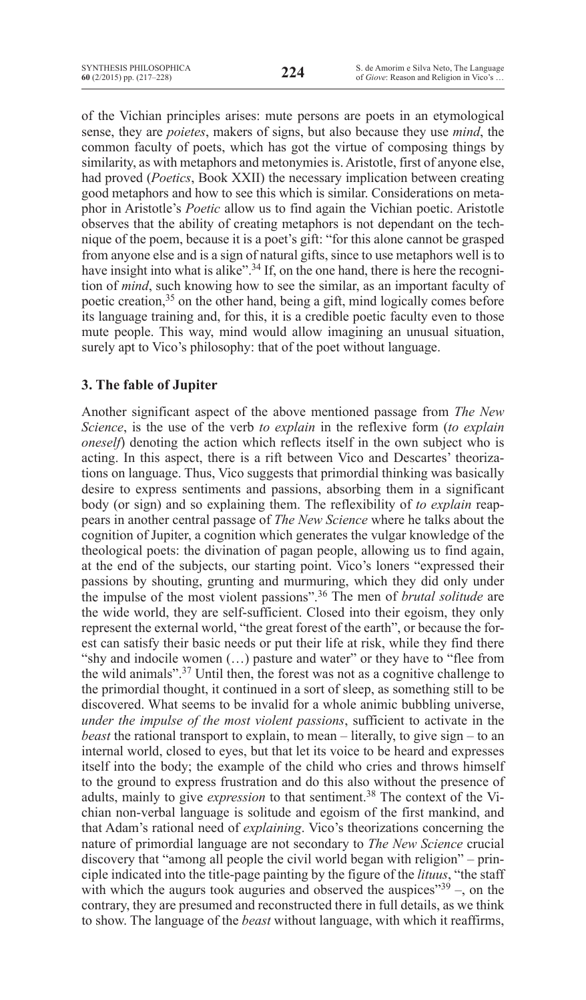of the Vichian principles arises: mute persons are poets in an etymological sense, they are *poietes*, makers of signs, but also because they use *mind*, the common faculty of poets, which has got the virtue of composing things by similarity, as with metaphors and metonymies is. Aristotle, first of anyone else, had proved (*Poetics*, Book XXII) the necessary implication between creating good metaphors and how to see this which is similar. Considerations on metaphor in Aristotle's *Poetic* allow us to find again the Vichian poetic. Aristotle observes that the ability of creating metaphors is not dependant on the technique of the poem, because it is a poet's gift: "for this alone cannot be grasped from anyone else and is a sign of natural gifts, since to use metaphors well is to have insight into what is alike".<sup>34</sup> If, on the one hand, there is here the recognition of *mind*, such knowing how to see the similar, as an important faculty of poetic creation,<sup>35</sup> on the other hand, being a gift, mind logically comes before its language training and, for this, it is a credible poetic faculty even to those mute people. This way, mind would allow imagining an unusual situation, surely apt to Vico's philosophy: that of the poet without language.

## **3. The fable of Jupiter**

Another significant aspect of the above mentioned passage from *The New Science*, is the use of the verb *to explain* in the reflexive form (*to explain oneself*) denoting the action which reflects itself in the own subject who is acting. In this aspect, there is a rift between Vico and Descartes' theorizations on language. Thus, Vico suggests that primordial thinking was basically desire to express sentiments and passions, absorbing them in a significant body (or sign) and so explaining them. The reflexibility of *to explain* reappears in another central passage of *The New Science* where he talks about the cognition of Jupiter, a cognition which generates the vulgar knowledge of the theological poets: the divination of pagan people, allowing us to find again, at the end of the subjects, our starting point. Vico's loners "expressed their passions by shouting, grunting and murmuring, which they did only under the impulse of the most violent passions".<sup>36</sup> The men of *brutal solitude* are the wide world, they are self-sufficient. Closed into their egoism, they only represent the external world, "the great forest of the earth", or because the forest can satisfy their basic needs or put their life at risk, while they find there "shy and indocile women (…) pasture and water" or they have to "flee from the wild animals".37 Until then, the forest was not as a cognitive challenge to the primordial thought, it continued in a sort of sleep, as something still to be discovered. What seems to be invalid for a whole animic bubbling universe, *under the impulse of the most violent passions*, sufficient to activate in the *beast* the rational transport to explain, to mean – literally, to give sign – to an internal world, closed to eyes, but that let its voice to be heard and expresses itself into the body; the example of the child who cries and throws himself to the ground to express frustration and do this also without the presence of adults, mainly to give *expression* to that sentiment.<sup>38</sup> The context of the Vichian non-verbal language is solitude and egoism of the first mankind, and that Adam's rational need of *explaining*. Vico's theorizations concerning the nature of primordial language are not secondary to *The New Science* crucial discovery that "among all people the civil world began with religion" – principle indicated into the title-page painting by the figure of the *lituus*, "the staff with which the augurs took auguries and observed the auspices" $39$  –, on the contrary, they are presumed and reconstructed there in full details, as we think to show. The language of the *beast* without language, with which it reaffirms,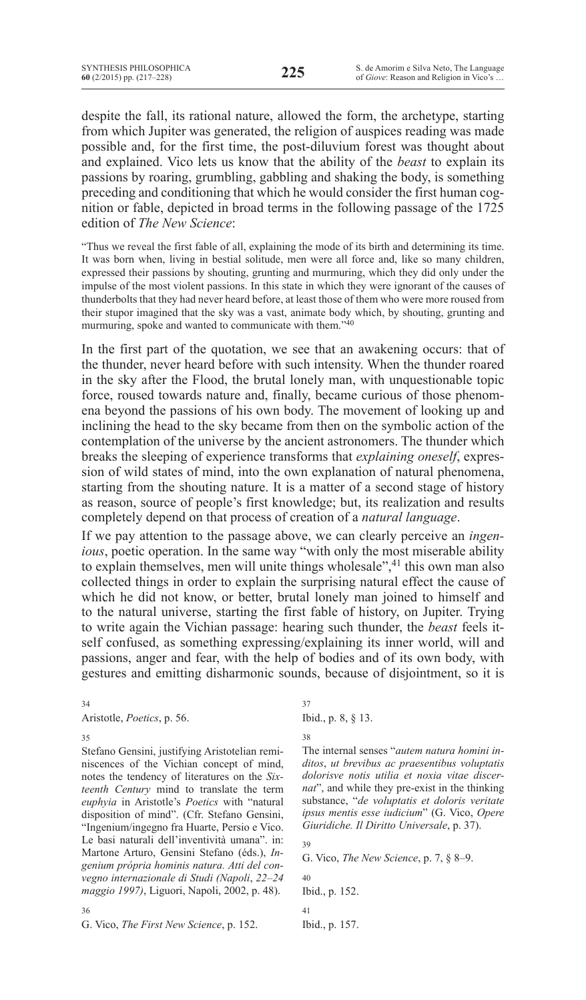despite the fall, its rational nature, allowed the form, the archetype, starting from which Jupiter was generated, the religion of auspices reading was made possible and, for the first time, the post-diluvium forest was thought about and explained. Vico lets us know that the ability of the *beast* to explain its passions by roaring, grumbling, gabbling and shaking the body, is something preceding and conditioning that which he would consider the first human cognition or fable, depicted in broad terms in the following passage of the 1725 edition of *The New Science*:

"Thus we reveal the first fable of all, explaining the mode of its birth and determining its time. It was born when, living in bestial solitude, men were all force and, like so many children, expressed their passions by shouting, grunting and murmuring, which they did only under the impulse of the most violent passions. In this state in which they were ignorant of the causes of thunderbolts that they had never heard before, at least those of them who were more roused from their stupor imagined that the sky was a vast, animate body which, by shouting, grunting and murmuring, spoke and wanted to communicate with them."40

In the first part of the quotation, we see that an awakening occurs: that of the thunder, never heard before with such intensity. When the thunder roared in the sky after the Flood, the brutal lonely man, with unquestionable topic force, roused towards nature and, finally, became curious of those phenomena beyond the passions of his own body. The movement of looking up and inclining the head to the sky became from then on the symbolic action of the contemplation of the universe by the ancient astronomers. The thunder which breaks the sleeping of experience transforms that *explaining oneself*, expression of wild states of mind, into the own explanation of natural phenomena, starting from the shouting nature. It is a matter of a second stage of history as reason, source of people's first knowledge; but, its realization and results completely depend on that process of creation of a *natural language*.

If we pay attention to the passage above, we can clearly perceive an *ingenious*, poetic operation. In the same way "with only the most miserable ability to explain themselves, men will unite things wholesale",<sup>41</sup> this own man also collected things in order to explain the surprising natural effect the cause of which he did not know, or better, brutal lonely man joined to himself and to the natural universe, starting the first fable of history, on Jupiter. Trying to write again the Vichian passage: hearing such thunder, the *beast* feels itself confused, as something expressing/explaining its inner world, will and passions, anger and fear, with the help of bodies and of its own body, with gestures and emitting disharmonic sounds, because of disjointment, so it is

#### 34

Aristotle, *Poetics*, p. 56.

35

Stefano Gensini, justifying Aristotelian reminiscences of the Vichian concept of mind, notes the tendency of literatures on the *Sixteenth Century* mind to translate the term *euphyia* in Aristotle's *Poetics* with "natural disposition of mind". (Cfr. Stefano Gensini, "Ingenium/ingegno fra Huarte, Persio e Vico. Le basi naturali dell'inventività umana". in: Martone Arturo, Gensini Stefano (éds.), *Ingenium própria hominis natura. Atti del convegno internazionale di Studi (Napoli*, *22–24 maggio 1997)*, Liguori, Napoli, 2002, p. 48).

37

Ibid., p. 8, § 13.

38

The internal senses "*autem natura homini inditos*, *ut brevibus ac praesentibus voluptatis dolorisve notis utilia et noxia vitae discernat*", and while they pre-exist in the thinking substance, "*de voluptatis et doloris veritate ipsus mentis esse iudicium*" (G. Vico, *Opere Giuridiche. Il Diritto Universale*, p. 37).

39

G. Vico, *The New Science*, p. 7, § 8–9.

40 Ibid., p. 152.

41 Ibid., p. 157.

36

G. Vico, *The First New Science*, p. 152.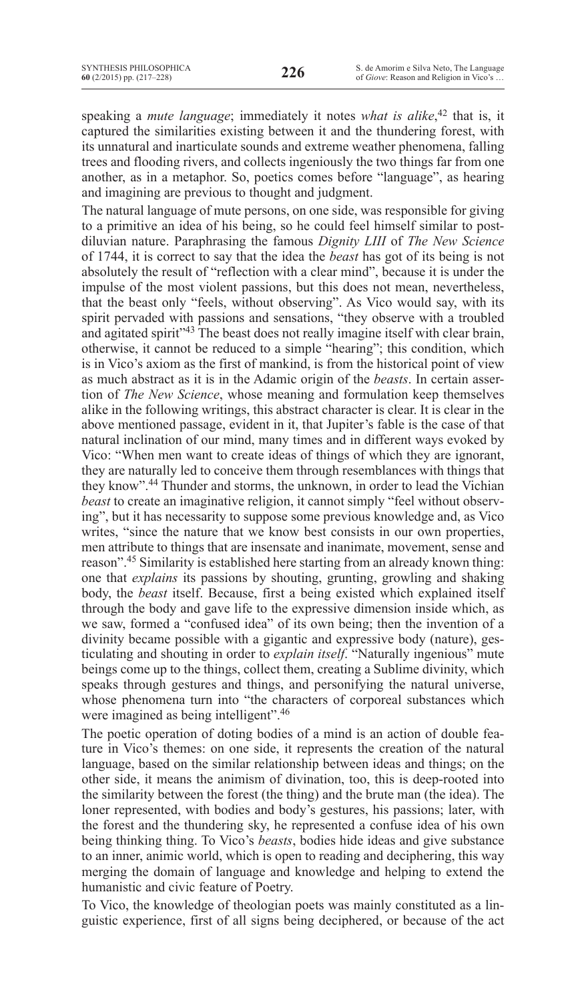speaking a *mute language*; immediately it notes *what is alike*, <sup>42</sup> that is, it captured the similarities existing between it and the thundering forest, with its unnatural and inarticulate sounds and extreme weather phenomena, falling trees and flooding rivers, and collects ingeniously the two things far from one another, as in a metaphor. So, poetics comes before "language", as hearing and imagining are previous to thought and judgment.

The natural language of mute persons, on one side, was responsible for giving to a primitive an idea of his being, so he could feel himself similar to postdiluvian nature. Paraphrasing the famous *Dignity LIII* of *The New Science* of 1744, it is correct to say that the idea the *beast* has got of its being is not absolutely the result of "reflection with a clear mind", because it is under the impulse of the most violent passions, but this does not mean, nevertheless, that the beast only "feels, without observing". As Vico would say, with its spirit pervaded with passions and sensations, "they observe with a troubled and agitated spirit"<sup>43</sup> The beast does not really imagine itself with clear brain, otherwise, it cannot be reduced to a simple "hearing"; this condition, which is in Vico's axiom as the first of mankind, is from the historical point of view as much abstract as it is in the Adamic origin of the *beasts*. In certain assertion of *The New Science*, whose meaning and formulation keep themselves alike in the following writings, this abstract character is clear. It is clear in the above mentioned passage, evident in it, that Jupiter's fable is the case of that natural inclination of our mind, many times and in different ways evoked by Vico: "When men want to create ideas of things of which they are ignorant, they are naturally led to conceive them through resemblances with things that they know".44 Thunder and storms, the unknown, in order to lead the Vichian *beast* to create an imaginative religion, it cannot simply "feel without observing", but it has necessarity to suppose some previous knowledge and, as Vico writes, "since the nature that we know best consists in our own properties, men attribute to things that are insensate and inanimate, movement, sense and reason".45 Similarity is established here starting from an already known thing: one that *explains* its passions by shouting, grunting, growling and shaking body, the *beast* itself. Because, first a being existed which explained itself through the body and gave life to the expressive dimension inside which, as we saw, formed a "confused idea" of its own being; then the invention of a divinity became possible with a gigantic and expressive body (nature), gesticulating and shouting in order to *explain itself*. "Naturally ingenious" mute beings come up to the things, collect them, creating a Sublime divinity, which speaks through gestures and things, and personifying the natural universe, whose phenomena turn into "the characters of corporeal substances which were imagined as being intelligent".46

The poetic operation of doting bodies of a mind is an action of double feature in Vico's themes: on one side, it represents the creation of the natural language, based on the similar relationship between ideas and things; on the other side, it means the animism of divination, too, this is deep-rooted into the similarity between the forest (the thing) and the brute man (the idea). The loner represented, with bodies and body's gestures, his passions; later, with the forest and the thundering sky, he represented a confuse idea of his own being thinking thing. To Vico's *beasts*, bodies hide ideas and give substance to an inner, animic world, which is open to reading and deciphering, this way merging the domain of language and knowledge and helping to extend the humanistic and civic feature of Poetry.

To Vico, the knowledge of theologian poets was mainly constituted as a linguistic experience, first of all signs being deciphered, or because of the act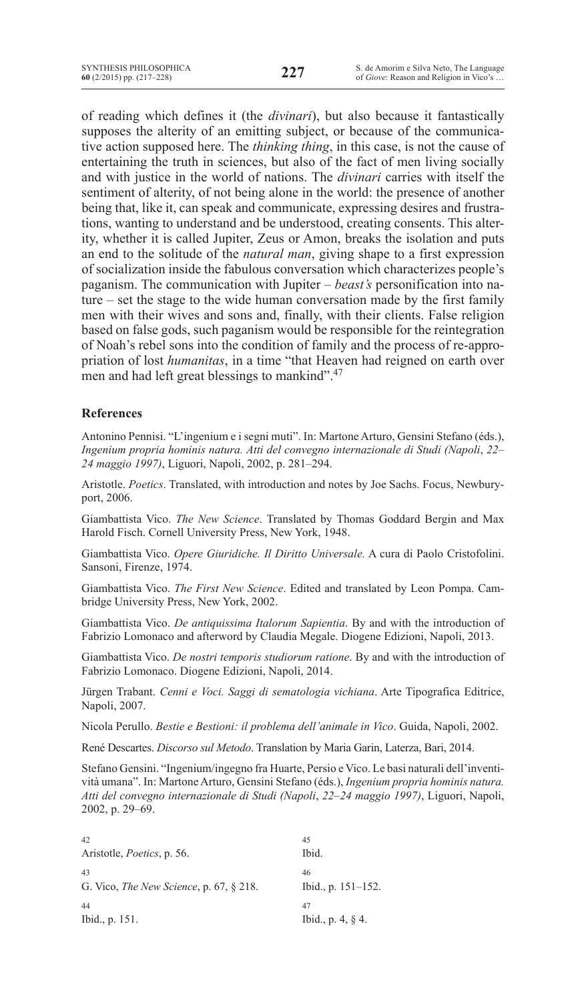of reading which defines it (the *divinari*), but also because it fantastically supposes the alterity of an emitting subject, or because of the communicative action supposed here. The *thinking thing*, in this case, is not the cause of entertaining the truth in sciences, but also of the fact of men living socially and with justice in the world of nations. The *divinari* carries with itself the sentiment of alterity, of not being alone in the world: the presence of another being that, like it, can speak and communicate, expressing desires and frustrations, wanting to understand and be understood, creating consents. This alterity, whether it is called Jupiter, Zeus or Amon, breaks the isolation and puts an end to the solitude of the *natural man*, giving shape to a first expression of socialization inside the fabulous conversation which characterizes people's paganism. The communication with Jupiter – *beast's* personification into nature – set the stage to the wide human conversation made by the first family men with their wives and sons and, finally, with their clients. False religion based on false gods, such paganism would be responsible for the reintegration of Noah's rebel sons into the condition of family and the process of re-appropriation of lost *humanitas*, in a time "that Heaven had reigned on earth over men and had left great blessings to mankind".47

## **References**

Antonino Pennisi. "L'ingenium e i segni muti". In: Martone Arturo, Gensini Stefano (éds.), *Ingenium propria hominis natura. Atti del convegno internazionale di Studi (Napoli*, *22– 24 maggio 1997)*, Liguori, Napoli, 2002, p. 281–294.

Aristotle. *Poetics*. Translated, with introduction and notes by Joe Sachs. Focus, Newburyport, 2006.

Giambattista Vico. *The New Science*. Translated by Thomas Goddard Bergin and Max Harold Fisch. Cornell University Press, New York, 1948.

Giambattista Vico. *Opere Giuridiche. Il Diritto Universale.* A cura di Paolo Cristofolini. Sansoni, Firenze, 1974.

Giambattista Vico. *The First New Science*. Edited and translated by Leon Pompa. Cambridge University Press, New York, 2002.

Giambattista Vico. *De antiquissima Italorum Sapientia*. By and with the introduction of Fabrizio Lomonaco and afterword by Claudia Megale. Diogene Edizioni, Napoli, 2013.

Giambattista Vico. *De nostri temporis studiorum ratione*. By and with the introduction of Fabrizio Lomonaco. Diogene Edizioni, Napoli, 2014.

Jürgen Trabant. *Cenni e Voci. Saggi di sematologia vichiana*. Arte Tipografica Editrice, Napoli, 2007.

Nicola Perullo. *Bestie e Bestioni: il problema dell'animale in Vico*. Guida, Napoli, 2002.

René Descartes. *Discorso sul Metodo*. Translation by Maria Garin, Laterza, Bari, 2014.

Stefano Gensini. "Ingenium/ingegno fra Huarte, Persio e Vico. Le basi naturali dell'inventività umana". In: MartoneArturo, Gensini Stefano (éds.), *Ingenium propria hominis natura. Atti del convegno internazionale di Studi (Napoli*, *22–24 maggio 1997)*, Liguori, Napoli, 2002, p. 29–69.

| 42                                        | 45                    |
|-------------------------------------------|-----------------------|
| Aristotle, <i>Poetics</i> , p. 56.        | Ibid.                 |
| 43                                        | 46                    |
| G. Vico, The New Science, p. $67, §$ 218. | Ibid., p. $151-152$ . |
| 44                                        | 47                    |
| Ibid., p. 151.                            | Ibid., p. 4, $\&$ 4.  |